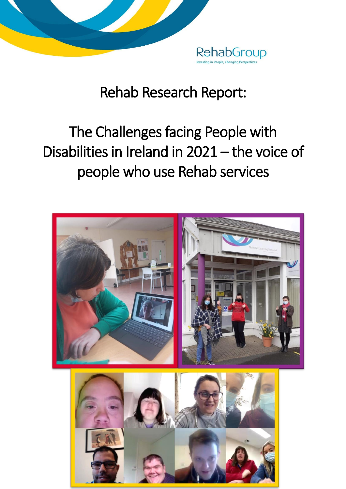

# Rehab Research Report:

# The Challenges facing People with Disabilities in Ireland in 2021 – the voice of people who use Rehab services

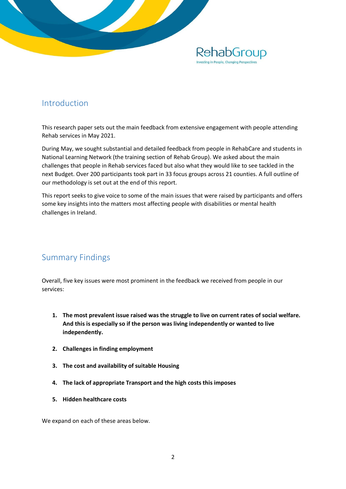

## Introduction

This research paper sets out the main feedback from extensive engagement with people attending Rehab services in May 2021.

During May, we sought substantial and detailed feedback from people in RehabCare and students in National Learning Network (the training section of Rehab Group). We asked about the main challenges that people in Rehab services faced but also what they would like to see tackled in the next Budget. Over 200 participants took part in 33 focus groups across 21 counties. A full outline of our methodology is set out at the end of this report.

This report seeks to give voice to some of the main issues that were raised by participants and offers some key insights into the matters most affecting people with disabilities or mental health challenges in Ireland.

# Summary Findings

Overall, five key issues were most prominent in the feedback we received from people in our services:

- **1. The most prevalent issue raised was the struggle to live on current rates of social welfare. And this is especially so if the person was living independently or wanted to live independently.**
- **2. Challenges in finding employment**
- **3. The cost and availability of suitable Housing**
- **4. The lack of appropriate Transport and the high costs this imposes**
- **5. Hidden healthcare costs**

We expand on each of these areas below.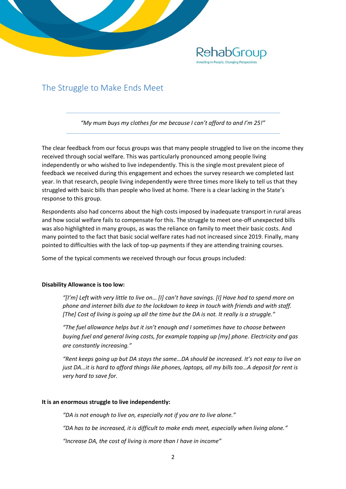

## The Struggle to Make Ends Meet

*"My mum buys my clothes for me because I can't afford to and I'm 25!"*

The clear feedback from our focus groups was that many people struggled to live on the income they received through social welfare. This was particularly pronounced among people living independently or who wished to live independently. This is the single most prevalent piece of feedback we received during this engagement and echoes the survey research we completed last year. In that research, people living independently were three times more likely to tell us that they struggled with basic bills than people who lived at home. There is a clear lacking in the State's response to this group.

Respondents also had concerns about the high costs imposed by inadequate transport in rural areas and how social welfare fails to compensate for this. The struggle to meet one-off unexpected bills was also highlighted in many groups, as was the reliance on family to meet their basic costs. And many pointed to the fact that basic social welfare rates had not increased since 2019. Finally, many pointed to difficulties with the lack of top-up payments if they are attending training courses.

Some of the typical comments we received through our focus groups included:

#### **Disability Allowance is too low:**

*"[I'm] Left with very little to live on… [I] can't have savings. [I] Have had to spend more on phone and internet bills due to the lockdown to keep in touch with friends and with staff. [The] Cost of living is going up all the time but the DA is not. It really is a struggle."*

*"The fuel allowance helps but it isn't enough and I sometimes have to choose between buying fuel and general living costs, for example topping up [my] phone. Electricity and gas are constantly increasing."*

*"Rent keeps going up but DA stays the same…DA should be increased. It's not easy to live on just DA…it is hard to afford things like phones, laptops, all my bills too…A deposit for rent is very hard to save for.*

#### **It is an enormous struggle to live independently:**

*"DA is not enough to live on, especially not if you are to live alone."*

*"DA has to be increased, it is difficult to make ends meet, especially when living alone."*

*"Increase DA, the cost of living is more than I have in income"*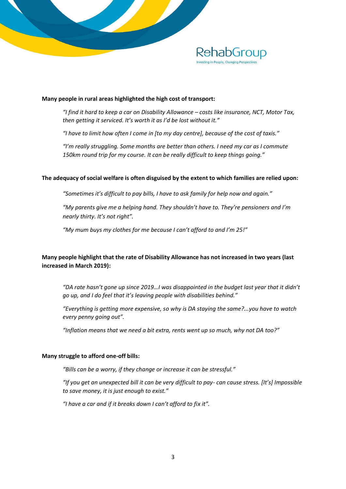

#### **Many people in rural areas highlighted the high cost of transport:**

*"I find it hard to keep a car on Disability Allowance – costs like insurance, NCT, Motor Tax, then getting it serviced. It's worth it as I'd be lost without it."*

*"I have to limit how often I come in [to my day centre], because of the cost of taxis."*

*"I'm really struggling. Some months are better than others. I need my car as I commute 150km round trip for my course. It can be really difficult to keep things going."*

#### **The adequacy of social welfare is often disguised by the extent to which families are relied upon:**

*"Sometimes it's difficult to pay bills, I have to ask family for help now and again."*

*"My parents give me a helping hand. They shouldn't have to. They're pensioners and I'm nearly thirty. It's not right".*

*"My mum buys my clothes for me because I can't afford to and I'm 25!"*

#### **Many people highlight that the rate of Disability Allowance has not increased in two years (last increased in March 2019):**

*"DA rate hasn't gone up since 2019…I was disappointed in the budget last year that it didn't go up, and I do feel that it's leaving people with disabilities behind."*

*"Everything is getting more expensive, so why is DA staying the same?...you have to watch every penny going out".*

*"Inflation means that we need a bit extra, rents went up so much, why not DA too?"* 

#### **Many struggle to afford one-off bills:**

*"Bills can be a worry, if they change or increase it can be stressful."*

*"If you get an unexpected bill it can be very difficult to pay- can cause stress. [It's] Impossible to save money, it is just enough to exist."*

*"I have a car and if it breaks down I can't afford to fix it".*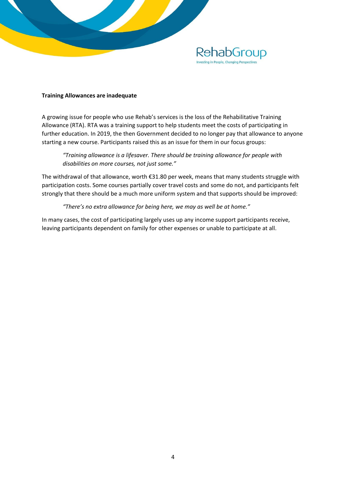

#### **Training Allowances are inadequate**

A growing issue for people who use Rehab's services is the loss of the Rehabilitative Training Allowance (RTA). RTA was a training support to help students meet the costs of participating in further education. In 2019, the then Government decided to no longer pay that allowance to anyone starting a new course. Participants raised this as an issue for them in our focus groups:

*"Training allowance is a lifesaver. There should be training allowance for people with disabilities on more courses, not just some."*

The withdrawal of that allowance, worth €31.80 per week, means that many students struggle with participation costs. Some courses partially cover travel costs and some do not, and participants felt strongly that there should be a much more uniform system and that supports should be improved:

*"There's no extra allowance for being here, we may as well be at home."*

In many cases, the cost of participating largely uses up any income support participants receive, leaving participants dependent on family for other expenses or unable to participate at all.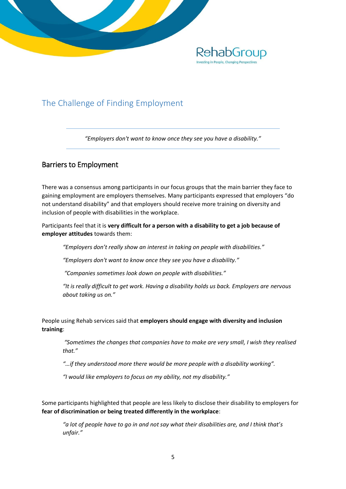

# The Challenge of Finding Employment

*"Employers don't want to know once they see you have a disability."*

## Barriers to Employment

There was a consensus among participants in our focus groups that the main barrier they face to gaining employment are employers themselves. Many participants expressed that employers "do not understand disability" and that employers should receive more training on diversity and inclusion of people with disabilities in the workplace.

Participants feel that it is **very difficult for a person with a disability to get a job because of employer attitudes** towards them:

*"Employers don't really show an interest in taking on people with disabilities."*

*"Employers don't want to know once they see you have a disability."*

*"Companies sometimes look down on people with disabilities."*

"It is really difficult to get work. Having a disability holds us back. Employers are nervous *about taking us on."*

People using Rehab services said that **employers should engage with diversity and inclusion training**:

*"Sometimes the changes that companies have to make are very small, I wish they realised that."*

*"…if they understood more there would be more people with a disability working".*

*"I would like employers to focus on my ability, not my disability."*

Some participants highlighted that people are less likely to disclose their disability to employers for **fear of discrimination or being treated differently in the workplace**:

*"a lot of people have to go in and not say what their disabilities are, and I think that's unfair."*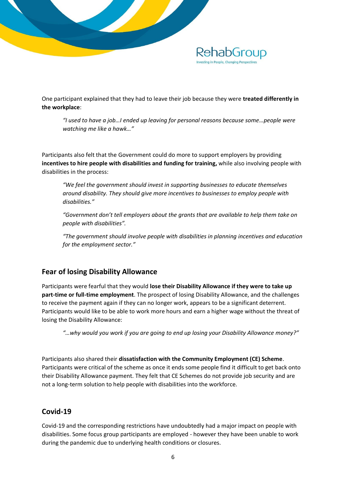

One participant explained that they had to leave their job because they were **treated differently in the workplace**:

*"I used to have a job…I ended up leaving for personal reasons because some…people were watching me like a hawk…"*

Participants also felt that the Government could do more to support employers by providing **incentives to hire people with disabilities and funding for training,** while also involving people with disabilities in the process:

*"We feel the government should invest in supporting businesses to educate themselves around disability. They should give more incentives to businesses to employ people with disabilities."*

*"Government don't tell employers about the grants that are available to help them take on people with disabilities".*

*"The government should involve people with disabilities in planning incentives and education for the employment sector."*

### **Fear of losing Disability Allowance**

Participants were fearful that they would **lose their Disability Allowance if they were to take up part-time or full-time employment**. The prospect of losing Disability Allowance, and the challenges to receive the payment again if they can no longer work, appears to be a significant deterrent. Participants would like to be able to work more hours and earn a higher wage without the threat of losing the Disability Allowance:

*"…why would you work if you are going to end up losing your Disability Allowance money?"*

Participants also shared their **dissatisfaction with the Community Employment (CE) Scheme**. Participants were critical of the scheme as once it ends some people find it difficult to get back onto their Disability Allowance payment. They felt that CE Schemes do not provide job security and are not a long-term solution to help people with disabilities into the workforce.

## **Covid-19**

Covid-19 and the corresponding restrictions have undoubtedly had a major impact on people with disabilities. Some focus group participants are employed - however they have been unable to work during the pandemic due to underlying health conditions or closures.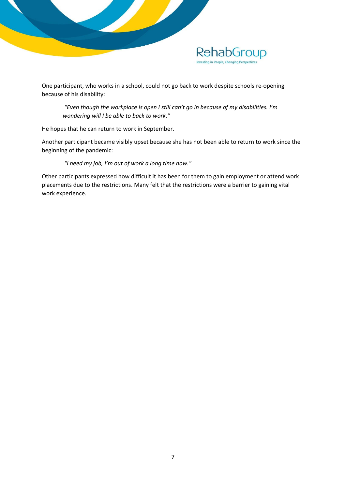

One participant, who works in a school, could not go back to work despite schools re-opening because of his disability:

*"Even though the workplace is open I still can't go in because of my disabilities. I'm wondering will I be able to back to work."* 

He hopes that he can return to work in September.

Another participant became visibly upset because she has not been able to return to work since the beginning of the pandemic:

*"I need my job, I'm out of work a long time now."*

Other participants expressed how difficult it has been for them to gain employment or attend work placements due to the restrictions. Many felt that the restrictions were a barrier to gaining vital work experience.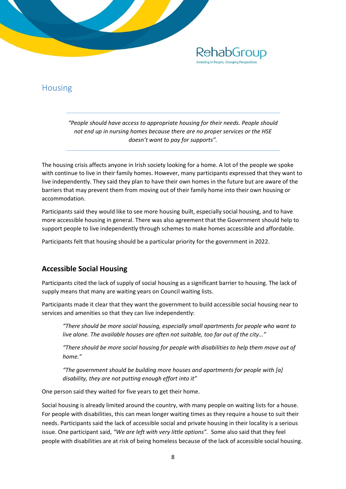

*"People should have access to appropriate housing for their needs. People should not end up in nursing homes because there are no proper services or the HSE doesn't want to pay for supports".*

RehabGroup

The housing crisis affects anyone in Irish society looking for a home. A lot of the people we spoke with continue to live in their family homes. However, many participants expressed that they want to live independently. They said they plan to have their own homes in the future but are aware of the barriers that may prevent them from moving out of their family home into their own housing or accommodation.

Participants said they would like to see more housing built, especially social housing, and to have more accessible housing in general. There was also agreement that the Government should help to support people to live independently through schemes to make homes accessible and affordable.

Participants felt that housing should be a particular priority for the government in 2022.

### **Accessible Social Housing**

Participants cited the lack of supply of social housing as a significant barrier to housing. The lack of supply means that many are waiting years on Council waiting lists.

Participants made it clear that they want the government to build accessible social housing near to services and amenities so that they can live independently:

*"There should be more social housing, especially small apartments for people who want to live alone. The available houses are often not suitable, too far out of the city…"*

*"There should be more social housing for people with disabilities to help them move out of home."* 

*"The government should be building more houses and apartments for people with [a] disability, they are not putting enough effort into it"*

One person said they waited for five years to get their home.

Social housing is already limited around the country, with many people on waiting lists for a house. For people with disabilities, this can mean longer waiting times as they require a house to suit their needs. Participants said the lack of accessible social and private housing in their locality is a serious issue. One participant said, *"We are left with very little options".* Some also said that they feel people with disabilities are at risk of being homeless because of the lack of accessible social housing.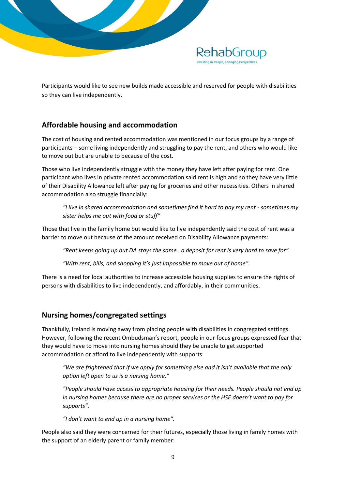

Participants would like to see new builds made accessible and reserved for people with disabilities so they can live independently.

## **Affordable housing and accommodation**

The cost of housing and rented accommodation was mentioned in our focus groups by a range of participants – some living independently and struggling to pay the rent, and others who would like to move out but are unable to because of the cost.

Those who live independently struggle with the money they have left after paying for rent. One participant who lives in private rented accommodation said rent is high and so they have very little of their Disability Allowance left after paying for groceries and other necessities. Others in shared accommodation also struggle financially:

*"I live in shared accommodation and sometimes find it hard to pay my rent - sometimes my sister helps me out with food or stuff"*

Those that live in the family home but would like to live independently said the cost of rent was a barrier to move out because of the amount received on Disability Allowance payments:

*"Rent keeps going up but DA stays the same…a deposit for rent is very hard to save for".* 

*"With rent, bills, and shopping it's just impossible to move out of home".*

There is a need for local authorities to increase accessible housing supplies to ensure the rights of persons with disabilities to live independently, and affordably, in their communities.

## **Nursing homes/congregated settings**

Thankfully, Ireland is moving away from placing people with disabilities in congregated settings. However, following the recent Ombudsman's report, people in our focus groups expressed fear that they would have to move into nursing homes should they be unable to get supported accommodation or afford to live independently with supports:

*"We are frightened that if we apply for something else and it isn't available that the only option left open to us is a nursing home."*

*"People should have access to appropriate housing for their needs. People should not end up in nursing homes because there are no proper services or the HSE doesn't want to pay for supports".*

*"I don't want to end up in a nursing home".*

People also said they were concerned for their futures, especially those living in family homes with the support of an elderly parent or family member: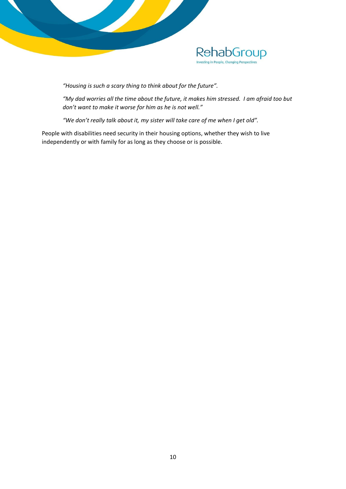

*"Housing is such a scary thing to think about for the future".* 

*"My dad worries all the time about the future, it makes him stressed. I am afraid too but don't want to make it worse for him as he is not well."*

*"We don't really talk about it, my sister will take care of me when I get old".*

People with disabilities need security in their housing options, whether they wish to live independently or with family for as long as they choose or is possible.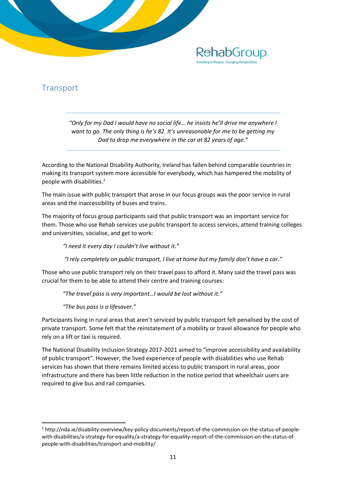

# **Transport**

*"Only for my Dad I would have no social life… he insists he'll drive me anywhere I want to go. The only thing is he's 82. It's unreasonable for me to be getting my Dad to drop me everywhere in the car at 82 years of age."*

According to the National Disability Authority, Ireland has fallen behind comparable countries in making its transport system more accessible for everybody, which has hampered the mobility of people with disabilities.<sup>1</sup>

The main issue with public transport that arose in our focus groups was the poor service in rural areas and the inaccessibility of buses and trains.

The majority of focus group participants said that public transport was an important service for them. Those who use Rehab services use public transport to access services, attend training colleges and universities, socialise, and get to work:

*"I need it every day I couldn't live without it."*

*"I rely completely on public transport, I live at home but my family don't have a car."*

Those who use public transport rely on their travel pass to afford it. Many said the travel pass was crucial for them to be able to attend their centre and training courses:

*"The travel pass is very important…I would be lost without it."*

*"The bus pass is a lifesaver."*

1

Participants living in rural areas that aren't serviced by public transport felt penalised by the cost of private transport. Some felt that the reinstatement of a mobility or travel allowance for people who rely on a lift or taxi is required.

The National Disability Inclusion Strategy 2017-2021 aimed to "improve accessibility and availability of public transport". However, the lived experience of people with disabilities who use Rehab services has shown that there remains limited access to public transport in rural areas, poor infrastructure and there has been little reduction in the notice period that wheelchair users are required to give bus and rail companies.

<sup>1</sup> http://nda.ie/disability-overview/key-policy-documents/report-of-the-commission-on-the-status-of-peoplewith-disabilities/a-strategy-for-equality/a-strategy-for-equality-report-of-the-commission-on-the-status-ofpeople-with-disabilities/transport-and-mobility/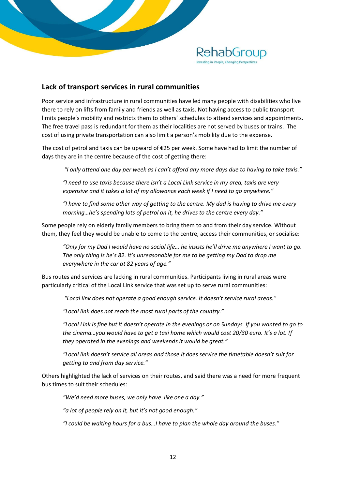

#### **Lack of transport services in rural communities**

Poor service and infrastructure in rural communities have led many people with disabilities who live there to rely on lifts from family and friends as well as taxis. Not having access to public transport limits people's mobility and restricts them to others' schedules to attend services and appointments. The free travel pass is redundant for them as their localities are not served by buses or trains. The cost of using private transportation can also limit a person's mobility due to the expense.

The cost of petrol and taxis can be upward of €25 per week. Some have had to limit the number of days they are in the centre because of the cost of getting there:

*"I only attend one day per week as I can't afford any more days due to having to take taxis."*

*"I need to use taxis because there isn't a Local Link service in my area, taxis are very expensive and it takes a lot of my allowance each week if I need to go anywhere."* 

*"I have to find some other way of getting to the centre. My dad is having to drive me every morning…he's spending lots of petrol on it, he drives to the centre every day."*

Some people rely on elderly family members to bring them to and from their day service. Without them, they feel they would be unable to come to the centre, access their communities, or socialise:

*"Only for my Dad I would have no social life… he insists he'll drive me anywhere I want to go. The only thing is he's 82. It's unreasonable for me to be getting my Dad to drop me everywhere in the car at 82 years of age."*

Bus routes and services are lacking in rural communities. Participants living in rural areas were particularly critical of the Local Link service that was set up to serve rural communities:

*"Local link does not operate a good enough service. It doesn't service rural areas."*

*"Local link does not reach the most rural parts of the country."*

*"Local Link is fine but it doesn't operate in the evenings or on Sundays. If you wanted to go to the cinema…you would have to get a taxi home which would cost 20/30 euro. It's a lot. If they operated in the evenings and weekends it would be great."*

*"Local link doesn't service all areas and those it does service the timetable doesn't suit for getting to and from day service."*

Others highlighted the lack of services on their routes, and said there was a need for more frequent bus times to suit their schedules:

*"We'd need more buses, we only have like one a day."* 

*"a lot of people rely on it, but it's not good enough."*

*"I could be waiting hours for a bus…I have to plan the whole day around the buses."*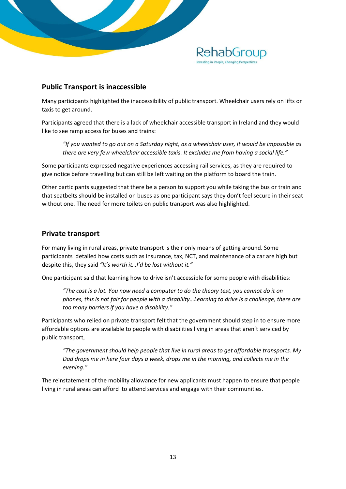

### **Public Transport is inaccessible**

Many participants highlighted the inaccessibility of public transport. Wheelchair users rely on lifts or taxis to get around.

Participants agreed that there is a lack of wheelchair accessible transport in Ireland and they would like to see ramp access for buses and trains:

*"If you wanted to go out on a Saturday night, as a wheelchair user, it would be impossible as there are very few wheelchair accessible taxis. It excludes me from having a social life."*

Some participants expressed negative experiences accessing rail services, as they are required to give notice before travelling but can still be left waiting on the platform to board the train.

Other participants suggested that there be a person to support you while taking the bus or train and that seatbelts should be installed on buses as one participant says they don't feel secure in their seat without one. The need for more toilets on public transport was also highlighted.

#### **Private transport**

For many living in rural areas, private transport is their only means of getting around. Some participants detailed how costs such as insurance, tax, NCT, and maintenance of a car are high but despite this, they said *"It's worth it…I'd be lost without it."*

One participant said that learning how to drive isn't accessible for some people with disabilities:

*"The cost is a lot. You now need a computer to do the theory test, you cannot do it on phones, this is not fair for people with a disability…Learning to drive is a challenge, there are too many barriers if you have a disability."*

Participants who relied on private transport felt that the government should step in to ensure more affordable options are available to people with disabilities living in areas that aren't serviced by public transport,

*"The government should help people that live in rural areas to get affordable transports. My Dad drops me in here four days a week, drops me in the morning, and collects me in the evening."*

The reinstatement of the mobility allowance for new applicants must happen to ensure that people living in rural areas can afford to attend services and engage with their communities.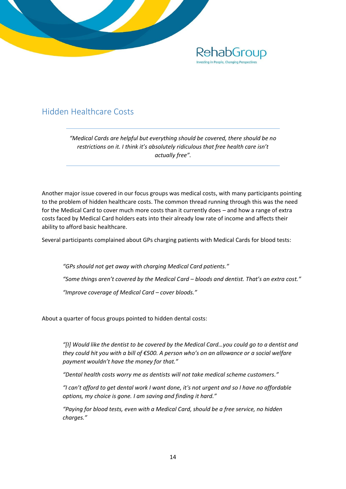

## Hidden Healthcare Costs

*"Medical Cards are helpful but everything should be covered, there should be no restrictions on it. I think it's absolutely ridiculous that free health care isn't actually free".*

Another major issue covered in our focus groups was medical costs, with many participants pointing to the problem of hidden healthcare costs. The common thread running through this was the need for the Medical Card to cover much more costs than it currently does – and how a range of extra costs faced by Medical Card holders eats into their already low rate of income and affects their ability to afford basic healthcare.

Several participants complained about GPs charging patients with Medical Cards for blood tests:

*"GPs should not get away with charging Medical Card patients." "Some things aren't covered by the Medical Card – bloods and dentist. That's an extra cost." "Improve coverage of Medical Card – cover bloods."*

About a quarter of focus groups pointed to hidden dental costs:

*"[I] Would like the dentist to be covered by the Medical Card…you could go to a dentist and they could hit you with a bill of €500. A person who's on an allowance or a social welfare payment wouldn't have the money for that."*

*"Dental health costs worry me as dentists will not take medical scheme customers."*

*"I can't afford to get dental work I want done, it's not urgent and so I have no affordable options, my choice is gone. I am saving and finding it hard."*

*"Paying for blood tests, even with a Medical Card, should be a free service, no hidden charges."*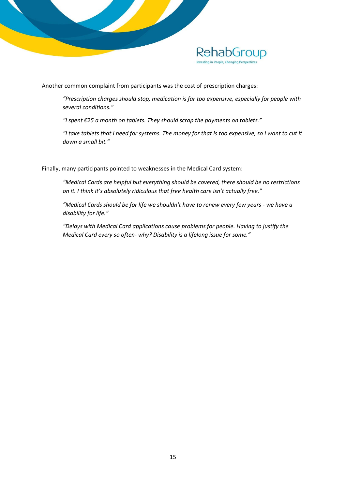

Another common complaint from participants was the cost of prescription charges:

*"Prescription charges should stop, medication is far too expensive, especially for people with several conditions."*

*"I spent €25 a month on tablets. They should scrap the payments on tablets."*

*"I take tablets that I need for systems. The money for that is too expensive, so I want to cut it down a small bit."*

Finally, many participants pointed to weaknesses in the Medical Card system:

*"Medical Cards are helpful but everything should be covered, there should be no restrictions on it. I think it's absolutely ridiculous that free health care isn't actually free."*

*"Medical Cards should be for life we shouldn't have to renew every few years - we have a disability for life."*

*"Delays with Medical Card applications cause problems for people. Having to justify the Medical Card every so often- why? Disability is a lifelong issue for some."*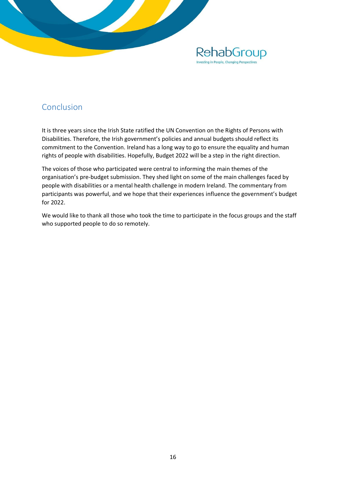

## Conclusion

It is three years since the Irish State ratified the UN Convention on the Rights of Persons with Disabilities. Therefore, the Irish government's policies and annual budgets should reflect its commitment to the Convention. Ireland has a long way to go to ensure the equality and human rights of people with disabilities. Hopefully, Budget 2022 will be a step in the right direction.

The voices of those who participated were central to informing the main themes of the organisation's pre-budget submission. They shed light on some of the main challenges faced by people with disabilities or a mental health challenge in modern Ireland. The commentary from participants was powerful, and we hope that their experiences influence the government's budget for 2022.

We would like to thank all those who took the time to participate in the focus groups and the staff who supported people to do so remotely.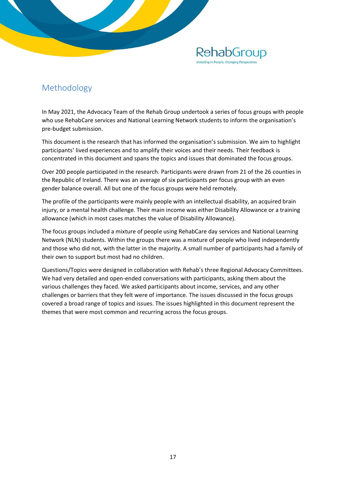# Methodology

In May 2021, the Advocacy Team of the Rehab Group undertook a series of focus groups with people who use RehabCare services and National Learning Network students to inform the organisation's pre-budget submission.

**RehabGroup** 

This document is the research that has informed the organisation's submission. We aim to highlight participants' lived experiences and to amplify their voices and their needs. Their feedback is concentrated in this document and spans the topics and issues that dominated the focus groups.

Over 200 people participated in the research. Participants were drawn from 21 of the 26 counties in the Republic of Ireland. There was an average of six participants per focus group with an even gender balance overall. All but one of the focus groups were held remotely.

The profile of the participants were mainly people with an intellectual disability, an acquired brain injury, or a mental health challenge. Their main income was either Disability Allowance or a training allowance (which in most cases matches the value of Disability Allowance).

The focus groups included a mixture of people using RehabCare day services and National Learning Network (NLN) students. Within the groups there was a mixture of people who lived independently and those who did not, with the latter in the majority. A small number of participants had a family of their own to support but most had no children.

Questions/Topics were designed in collaboration with Rehab's three Regional Advocacy Committees. We had very detailed and open-ended conversations with participants, asking them about the various challenges they faced. We asked participants about income, services, and any other challenges or barriers that they felt were of importance. The issues discussed in the focus groups covered a broad range of topics and issues. The issues highlighted in this document represent the themes that were most common and recurring across the focus groups.